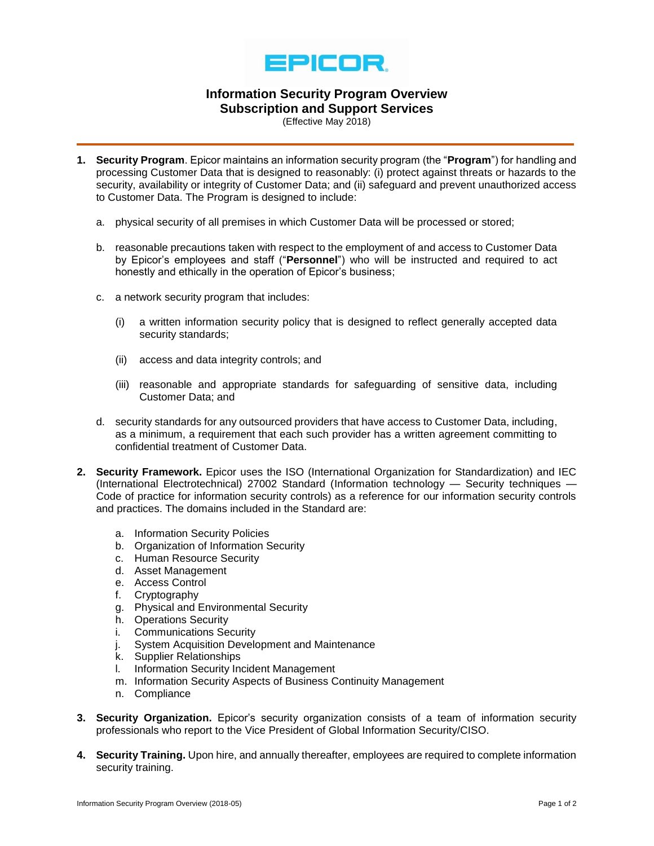

## **Information Security Program Overview Subscription and Support Services**

(Effective May 2018)

- **1. Security Program**. Epicor maintains an information security program (the "**Program**") for handling and processing Customer Data that is designed to reasonably: (i) protect against threats or hazards to the security, availability or integrity of Customer Data; and (ii) safeguard and prevent unauthorized access to Customer Data. The Program is designed to include:
	- a. physical security of all premises in which Customer Data will be processed or stored;
	- b. reasonable precautions taken with respect to the employment of and access to Customer Data by Epicor's employees and staff ("**Personnel**") who will be instructed and required to act honestly and ethically in the operation of Epicor's business;
	- c. a network security program that includes:
		- (i) a written information security policy that is designed to reflect generally accepted data security standards;
		- (ii) access and data integrity controls; and
		- (iii) reasonable and appropriate standards for safeguarding of sensitive data, including Customer Data; and
	- d. security standards for any outsourced providers that have access to Customer Data, including, as a minimum, a requirement that each such provider has a written agreement committing to confidential treatment of Customer Data.
- **2. Security Framework.** Epicor uses the ISO (International Organization for Standardization) and IEC (International Electrotechnical) 27002 Standard (Information technology — Security techniques — Code of practice for information security controls) as a reference for our information security controls and practices. The domains included in the Standard are:
	- a. Information Security Policies
	- b. Organization of Information Security
	- c. Human Resource Security
	- d. Asset Management
	- e. Access Control
	- f. Cryptography
	- g. Physical and Environmental Security
	- h. Operations Security
	- i. Communications Security
	- j. System Acquisition Development and Maintenance
	- k. Supplier Relationships
	- l. Information Security Incident Management
	- m. Information Security Aspects of Business Continuity Management
	- n. Compliance
- **3. Security Organization.** Epicor's security organization consists of a team of information security professionals who report to the Vice President of Global Information Security/CISO.
- **4. Security Training.** Upon hire, and annually thereafter, employees are required to complete information security training.